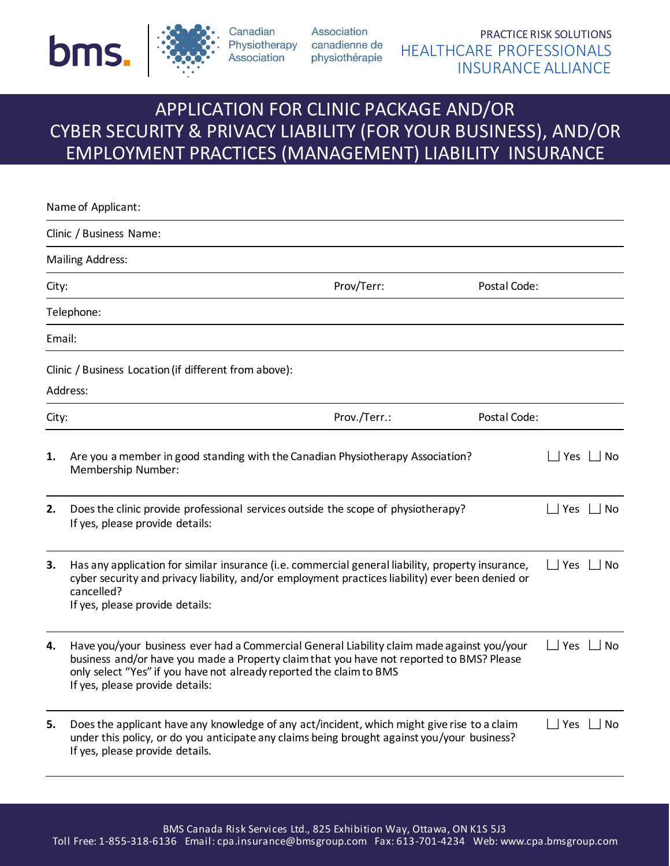



Canadian Association

Association Physiotherapy canadienne de physiothérapie

PRACTICE RISK SOLUTIONS HEALTHCARE PROFESSIONALS INSURANCE ALLIANCE

# APPLICATION FOR CLINIC PACKAGE AND/OR CYBER SECURITY & PRIVACY LIABILITY (FOR YOUR BUSINESS), AND/OR EMPLOYMENT PRACTICES (MANAGEMENT) LIABILITY INSURANCE

|        | Name of Applicant:                                                                                                                                                                                                                                                                               |              |              |                      |           |
|--------|--------------------------------------------------------------------------------------------------------------------------------------------------------------------------------------------------------------------------------------------------------------------------------------------------|--------------|--------------|----------------------|-----------|
|        | Clinic / Business Name:                                                                                                                                                                                                                                                                          |              |              |                      |           |
|        | <b>Mailing Address:</b>                                                                                                                                                                                                                                                                          |              |              |                      |           |
| City:  |                                                                                                                                                                                                                                                                                                  | Prov/Terr:   | Postal Code: |                      |           |
|        | Telephone:                                                                                                                                                                                                                                                                                       |              |              |                      |           |
| Email: |                                                                                                                                                                                                                                                                                                  |              |              |                      |           |
|        | Clinic / Business Location (if different from above):<br>Address:                                                                                                                                                                                                                                |              |              |                      |           |
| City:  |                                                                                                                                                                                                                                                                                                  | Prov./Terr.: | Postal Code: |                      |           |
| 1.     | Are you a member in good standing with the Canadian Physiotherapy Association?<br>Membership Number:                                                                                                                                                                                             |              |              | $\Box$ Yes $\Box$ No |           |
| 2.     | Does the clinic provide professional services outside the scope of physiotherapy?<br>If yes, please provide details:                                                                                                                                                                             |              |              | $\Box$ Yes $\Box$ No |           |
| 3.     | Has any application for similar insurance (i.e. commercial general liability, property insurance,<br>cyber security and privacy liability, and/or employment practices liability) ever been denied or<br>cancelled?<br>If yes, please provide details:                                           |              |              | $\Box$ Yes $\Box$ No |           |
| 4.     | Have you/your business ever had a Commercial General Liability claim made against you/your<br>business and/or have you made a Property claim that you have not reported to BMS? Please<br>only select "Yes" if you have not already reported the claim to BMS<br>If yes, please provide details: |              |              | $\Box$ Yes           | No        |
| 5.     | Does the applicant have any knowledge of any act/incident, which might give rise to a claim<br>under this policy, or do you anticipate any claims being brought against you/your business?<br>If yes, please provide details.                                                                    |              |              | $\Box$ Yes           | $\Box$ No |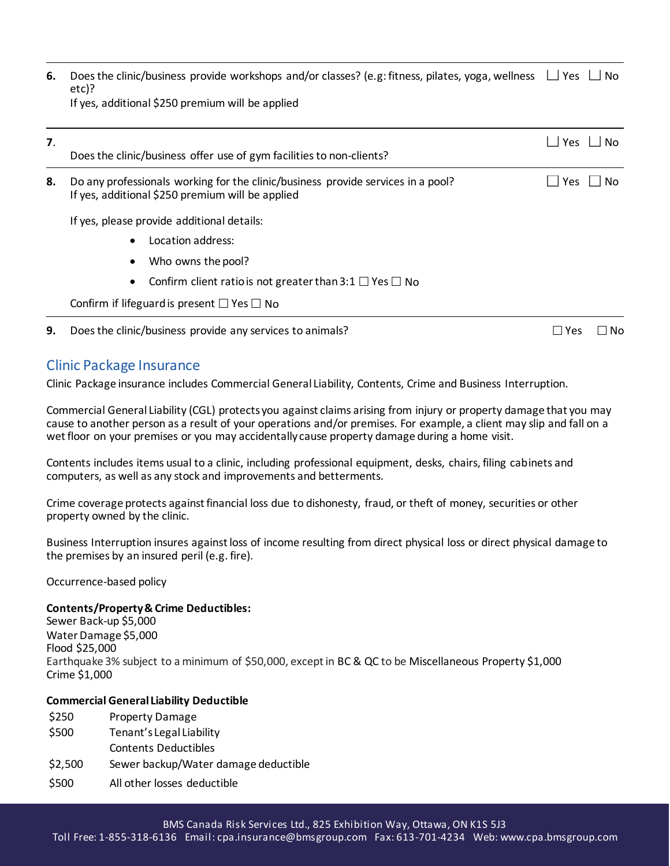| <b>6.</b> Does the clinic/business provide workshops and/or classes? (e.g: fitness, pilates, yoga, wellness $\Box$ Yes $\Box$ No |  |
|----------------------------------------------------------------------------------------------------------------------------------|--|
| etc)?                                                                                                                            |  |
| If yes, additional \$250 premium will be applied                                                                                 |  |

| $\overline{7}$ . | Does the clinic/business offer use of gym facilities to non-clients?                                                                 |                   |  |
|------------------|--------------------------------------------------------------------------------------------------------------------------------------|-------------------|--|
| 8.               | Do any professionals working for the clinic/business provide services in a pool?<br>If yes, additional \$250 premium will be applied | Yes<br>No.        |  |
|                  | If yes, please provide additional details:                                                                                           |                   |  |
|                  | Location address:                                                                                                                    |                   |  |
|                  | Who owns the pool?<br>$\bullet$                                                                                                      |                   |  |
|                  | Confirm client ratio is not greater than 3:1 $\Box$ Yes $\Box$ No                                                                    |                   |  |
|                  | Confirm if lifeguard is present $\square$ Yes $\square$ No                                                                           |                   |  |
| 9.               | Does the clinic/business provide any services to animals?                                                                            | No.<br>$\Box$ Yes |  |

### Clinic Package Insurance

Clinic Package insurance includes Commercial General Liability, Contents, Crime and Business Interruption.

Commercial General Liability (CGL) protects you against claims arising from injury or property damage that you may cause to another person as a result of your operations and/or premises. For example, a client may slip and fall on a wet floor on your premises or you may accidentally cause property damage during a home visit.

Contents includes items usual to a clinic, including professional equipment, desks, chairs, filing cabinets and computers, as well as any stock and improvements and betterments.

Crime coverage protects against financial loss due to dishonesty, fraud, or theft of money, securities or other property owned by the clinic.

Business Interruption insures against loss of income resulting from direct physical loss or direct physical damage to the premises by an insured peril (e.g. fire).

Occurrence-based policy

#### **Contents/Property & Crime Deductibles:**

Sewer Back-up \$5,000 Water Damage \$5,000 Flood \$25,000 Earthquake 3% subject to a minimum of \$50,000, except in BC & QC to be Miscellaneous Property \$1,000 Crime \$1,000

#### **Commercial General Liability Deductible**

\$250 Property Damage \$500 Tenant's Legal Liability Contents Deductibles \$2,500 Sewer backup/Water damage deductible \$500 All other losses deductible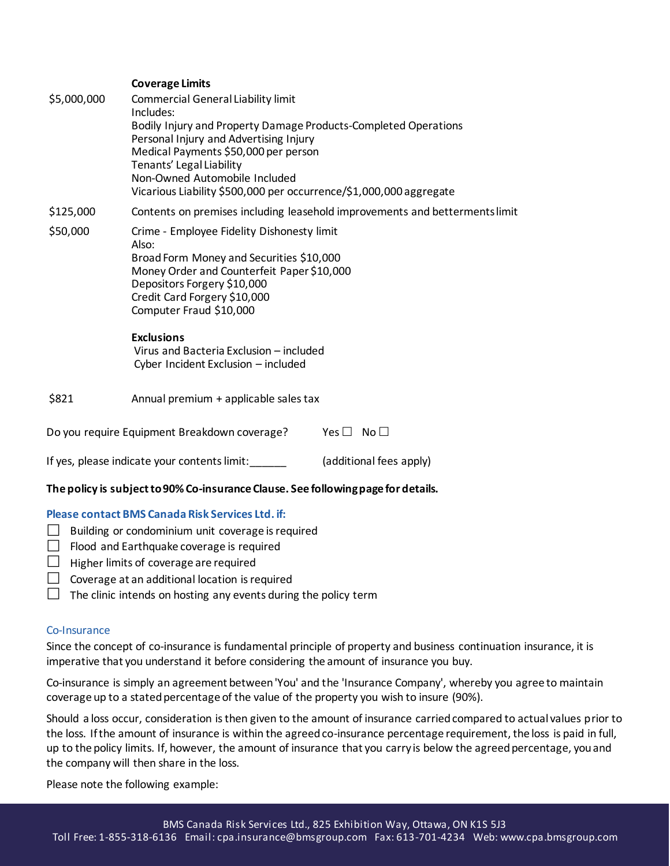#### **Coverage Limits**

| \$5,000,000 | <b>Commercial General Liability limit</b><br>Includes:<br>Bodily Injury and Property Damage Products-Completed Operations<br>Personal Injury and Advertising Injury<br>Medical Payments \$50,000 per person<br>Tenants' Legal Liability<br>Non-Owned Automobile Included<br>Vicarious Liability \$500,000 per occurrence/\$1,000,000 aggregate |
|-------------|------------------------------------------------------------------------------------------------------------------------------------------------------------------------------------------------------------------------------------------------------------------------------------------------------------------------------------------------|
| \$125,000   | Contents on premises including leasehold improvements and betterments limit                                                                                                                                                                                                                                                                    |
| \$50,000    | Crime - Employee Fidelity Dishonesty limit<br>Also:<br>Broad Form Money and Securities \$10,000<br>Money Order and Counterfeit Paper \$10,000<br>Depositors Forgery \$10,000<br>Credit Card Forgery \$10,000<br>Computer Fraud \$10,000<br><b>Exclusions</b><br>Virus and Bacteria Exclusion - included<br>Cyber Incident Exclusion - included |
| \$821       | Annual premium + applicable sales tax                                                                                                                                                                                                                                                                                                          |
|             | Do you require Equipment Breakdown coverage?<br>No <sub>1</sub><br>Yes $\Box$                                                                                                                                                                                                                                                                  |
|             | If yes, please indicate your contents limit:<br>(additional fees apply)                                                                                                                                                                                                                                                                        |

# **The policy is subject to 90% Co-insurance Clause. See following page for details.**

#### **Please contact BMS Canada Risk Services Ltd. if:**

- $\Box$  Building or condominium unit coverage is required
- $\Box$  Flood and Earthquake coverage is required
- $\Box$  Higher limits of coverage are required
- $\Box$  Coverage at an additional location is required
- $\Box$  The clinic intends on hosting any events during the policy term

#### Co-Insurance

Since the concept of co-insurance is fundamental principle of property and business continuation insurance, it is imperative that you understand it before considering the amount of insurance you buy.

Co-insurance is simply an agreement between 'You' and the 'Insurance Company', whereby you agree to maintain coverage up to a stated percentage of the value of the property you wish to insure (90%).

Should a loss occur, consideration is then given to the amount of insurance carried compared to actual values prior to the loss. If the amount of insurance is within the agreed co-insurance percentage requirement, the loss is paid in full, up to the policy limits. If, however, the amount of insurance that you carry is below the agreed percentage, you and the company will then share in the loss.

Please note the following example: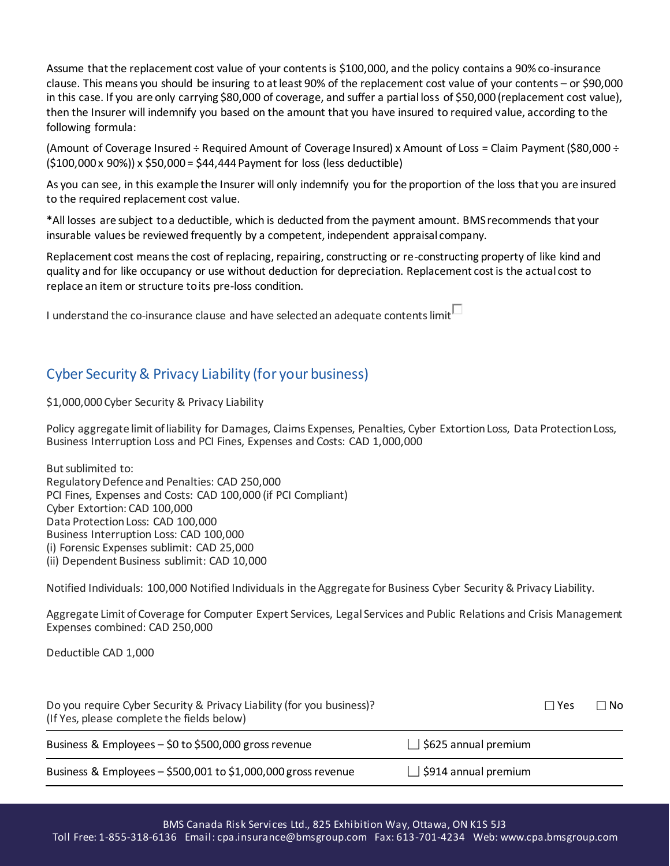Assume that the replacement cost value of your contents is \$100,000, and the policy contains a 90% co-insurance clause. This means you should be insuring to at least 90% of the replacement cost value of your contents – or \$90,000 in this case. If you are only carrying \$80,000 of coverage, and suffer a partial loss of \$50,000 (replacement cost value), then the Insurer will indemnify you based on the amount that you have insured to required value, according to the following formula:

(Amount of Coverage Insured ÷ Required Amount of Coverage Insured) x Amount of Loss = Claim Payment (\$80,000 ÷  $(5100,000 \times 90\%) \times 550,000 = 544,444$  Payment for loss (less deductible)

As you can see, in this example the Insurer will only indemnify you for the proportion of the loss that you are insured to the required replacement cost value.

\*All losses are subject to a deductible, which is deducted from the payment amount. BMS recommends that your insurable values be reviewed frequently by a competent, independent appraisal company.

Replacement cost means the cost of replacing, repairing, constructing or re-constructing property of like kind and quality and for like occupancy or use without deduction for depreciation. Replacement cost is the actual cost to replace an item or structure to its pre-loss condition.

I understand the co-insurance clause and have selected an adequate contents limit $\Box$ 

## Cyber Security & Privacy Liability (for your business)

\$1,000,000 Cyber Security & Privacy Liability

Policy aggregate limit of liability for Damages, Claims Expenses, Penalties, Cyber Extortion Loss, Data Protection Loss, Business Interruption Loss and PCI Fines, Expenses and Costs: CAD 1,000,000

But sublimited to: Regulatory Defence and Penalties: CAD 250,000 PCI Fines, Expenses and Costs: CAD 100,000 (if PCI Compliant) Cyber Extortion: CAD 100,000 Data Protection Loss: CAD 100,000 Business Interruption Loss: CAD 100,000 (i) Forensic Expenses sublimit: CAD 25,000 (ii) Dependent Business sublimit: CAD 10,000

Notified Individuals: 100,000 Notified Individuals in the Aggregate for Business Cyber Security & Privacy Liability.

Aggregate Limit of Coverage for Computer Expert Services, Legal Services and Public Relations and Crisis Management Expenses combined: CAD 250,000

Deductible CAD 1,000

| Do you require Cyber Security & Privacy Liability (for you business)?<br>(If Yes, please complete the fields below) |                             | $\Box$ Yes | ⊺No |
|---------------------------------------------------------------------------------------------------------------------|-----------------------------|------------|-----|
| Business & Employees - \$0 to \$500,000 gross revenue                                                               | $\Box$ \$625 annual premium |            |     |
| Business & Employees - \$500,001 to \$1,000,000 gross revenue                                                       | $\Box$ \$914 annual premium |            |     |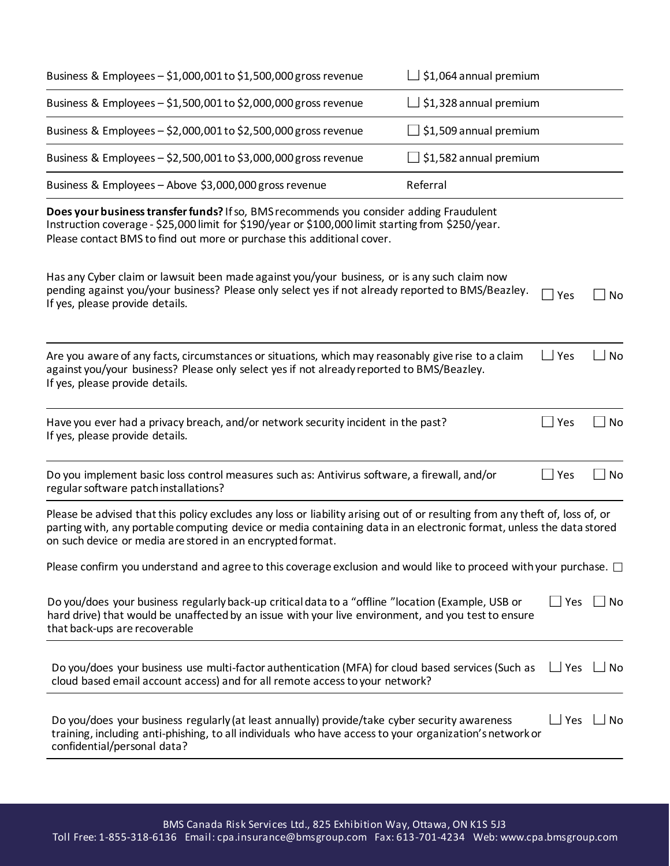| Business & Employees - \$1,000,001 to \$1,500,000 gross revenue                                                                                                                                                                                                                                                    | $\Box$ \$1,064 annual premium |                      |           |
|--------------------------------------------------------------------------------------------------------------------------------------------------------------------------------------------------------------------------------------------------------------------------------------------------------------------|-------------------------------|----------------------|-----------|
| Business & Employees - \$1,500,001 to \$2,000,000 gross revenue                                                                                                                                                                                                                                                    | $\Box$ \$1,328 annual premium |                      |           |
| Business & Employees - \$2,000,001 to \$2,500,000 gross revenue                                                                                                                                                                                                                                                    | $\Box$ \$1,509 annual premium |                      |           |
| Business & Employees - \$2,500,001 to \$3,000,000 gross revenue                                                                                                                                                                                                                                                    | $\Box$ \$1,582 annual premium |                      |           |
| Business & Employees - Above \$3,000,000 gross revenue                                                                                                                                                                                                                                                             | Referral                      |                      |           |
| Does your business transfer funds? If so, BMS recommends you consider adding Fraudulent<br>Instruction coverage - \$25,000 limit for \$190/year or \$100,000 limit starting from \$250/year.<br>Please contact BMS to find out more or purchase this additional cover.                                             |                               |                      |           |
| Has any Cyber claim or lawsuit been made against you/your business, or is any such claim now<br>pending against you/your business? Please only select yes if not already reported to BMS/Beazley.<br>If yes, please provide details.                                                                               |                               | $\Box$ Yes           | No        |
| Are you aware of any facts, circumstances or situations, which may reasonably give rise to a claim<br>against you/your business? Please only select yes if not already reported to BMS/Beazley.<br>If yes, please provide details.                                                                                 |                               | $\Box$ Yes           | No        |
| Have you ever had a privacy breach, and/or network security incident in the past?<br>If yes, please provide details.                                                                                                                                                                                               |                               | $\Box$ Yes           | No        |
| Do you implement basic loss control measures such as: Antivirus software, a firewall, and/or<br>regular software patch installations?                                                                                                                                                                              |                               | $\Box$ Yes           | No        |
| Please be advised that this policy excludes any loss or liability arising out of or resulting from any theft of, loss of, or<br>parting with, any portable computing device or media containing data in an electronic format, unless the data stored<br>on such device or media are stored in an encrypted format. |                               |                      |           |
| Please confirm you understand and agree to this coverage exclusion and would like to proceed with your purchase. $\Box$                                                                                                                                                                                            |                               |                      |           |
| Do you/does your business regularly back-up critical data to a "offline "location (Example, USB or<br>hard drive) that would be unaffected by an issue with your live environment, and you test to ensure<br>that back-ups are recoverable                                                                         |                               | $\Box$ Yes $\Box$ No |           |
| Do you/does your business use multi-factor authentication (MFA) for cloud based services (Such as<br>cloud based email account access) and for all remote access to your network?                                                                                                                                  |                               | $\Box$ Yes           | __ No     |
| Do you/does your business regularly (at least annually) provide/take cyber security awareness<br>training, including anti-phishing, to all individuals who have access to your organization's network or<br>confidential/personal data?                                                                            |                               | $\Box$ Yes           | $\Box$ No |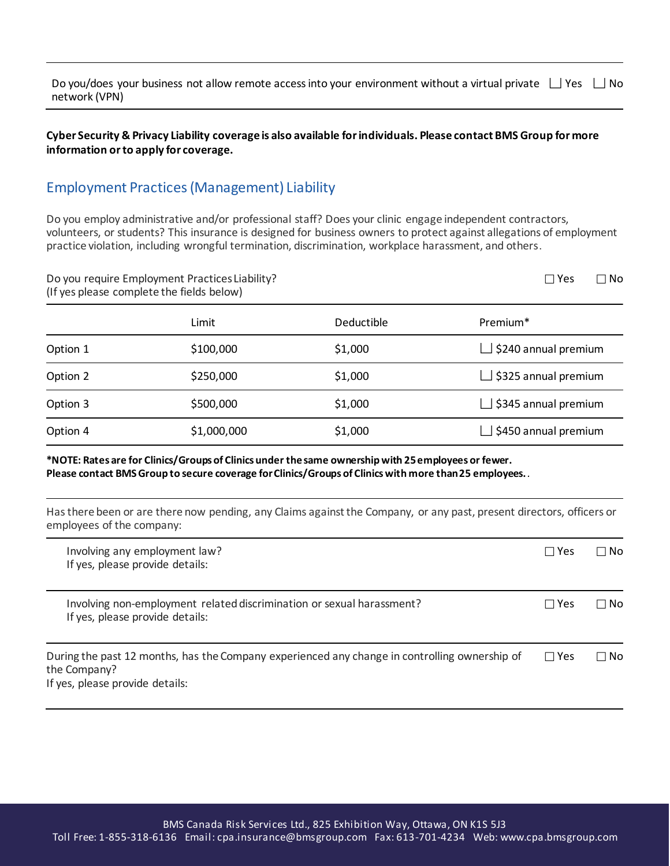| Do you/does your business not allow remote access into your environment without a virtual private $\Box$ Yes $\Box$ No |  |
|------------------------------------------------------------------------------------------------------------------------|--|
| network (VPN)                                                                                                          |  |

#### **Cyber Security & Privacy Liability coverage is also available for individuals. Please contact BMS Group for more information or to apply for coverage.**

### Employment Practices (Management) Liability

Do you employ administrative and/or professional staff? Does your clinic engage independent contractors, volunteers, or students? This insurance is designed for business owners to protect against allegations of employment practice violation, including wrongful termination, discrimination, workplace harassment, and others.

| Do you require Employment Practices Liability?<br>(If yes please complete the fields below) |             |            |                             |  |
|---------------------------------------------------------------------------------------------|-------------|------------|-----------------------------|--|
|                                                                                             | Limit       | Deductible | Premium <sup>*</sup>        |  |
| Option 1                                                                                    | \$100,000   | \$1,000    | \$240 annual premium        |  |
| Option 2                                                                                    | \$250,000   | \$1,000    | $\Box$ \$325 annual premium |  |
| Option 3                                                                                    | \$500,000   | \$1,000    | \$345 annual premium        |  |
| Option 4                                                                                    | \$1,000,000 | \$1,000    | \$450 annual premium        |  |

#### **\*NOTE: Rates are for Clinics/Groups of Clinics under the same ownership with 25 employees or fewer. Please contact BMS Group to secure coverage for Clinics/Groups of Clinics with more than 25 employees.** *.*

Has there been or are there now pending, any Claims against the Company, or any past, present directors, officers or employees of the company:

| Involving any employment law?<br>If yes, please provide details:                                                                                 | □ Yes        | ∩ No      |
|--------------------------------------------------------------------------------------------------------------------------------------------------|--------------|-----------|
| Involving non-employment related discrimination or sexual harassment?<br>If yes, please provide details:                                         | $\sqcap$ Yes | $\Box$ No |
| During the past 12 months, has the Company experienced any change in controlling ownership of<br>the Company?<br>If yes, please provide details: | $\Box$ Yes   | l No      |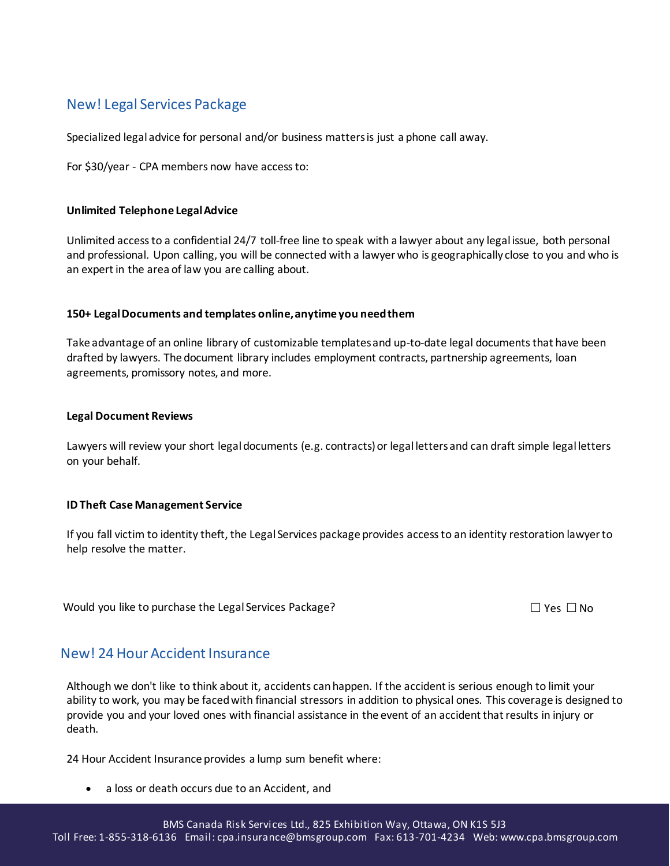## New! Legal Services Package

Specialized legal advice for personal and/or business matters is just a phone call away.

For \$30/year - CPA members now have access to:

#### **Unlimited Telephone Legal Advice**

Unlimited access to a confidential 24/7 toll-free line to speak with a lawyer about any legal issue, both personal and professional. Upon calling, you will be connected with a lawyer who is geographically close to you and who is an expert in the area of law you are calling about.

#### **150+ Legal Documents and templates online, anytime you need them**

Take advantage of an online library of customizable templates and up-to-date legal documents that have been drafted by lawyers. The document library includes employment contracts, partnership agreements, loan agreements, promissory notes, and more.

#### **Legal Document Reviews**

Lawyers will review your short legal documents (e.g. contracts) or legal letters and can draft simple legal letters on your behalf.

#### **ID Theft Case Management Service**

If you fall victim to identity theft, the Legal Services package provides access to an identity restoration lawyer to help resolve the matter.

Would you like to purchase the Legal Services Package?  $\Box$  Yes  $\Box$  Yes  $\Box$  No

### New! 24 Hour Accident Insurance

Although we don't like to think about it, accidents can happen. If the accident is serious enough to limit your ability to work, you may be faced with financial stressors in addition to physical ones. This coverage is designed to provide you and your loved ones with financial assistance in the event of an accident that results in injury or death.

24 Hour Accident Insurance provides a lump sum benefit where:

a loss or death occurs due to an Accident, and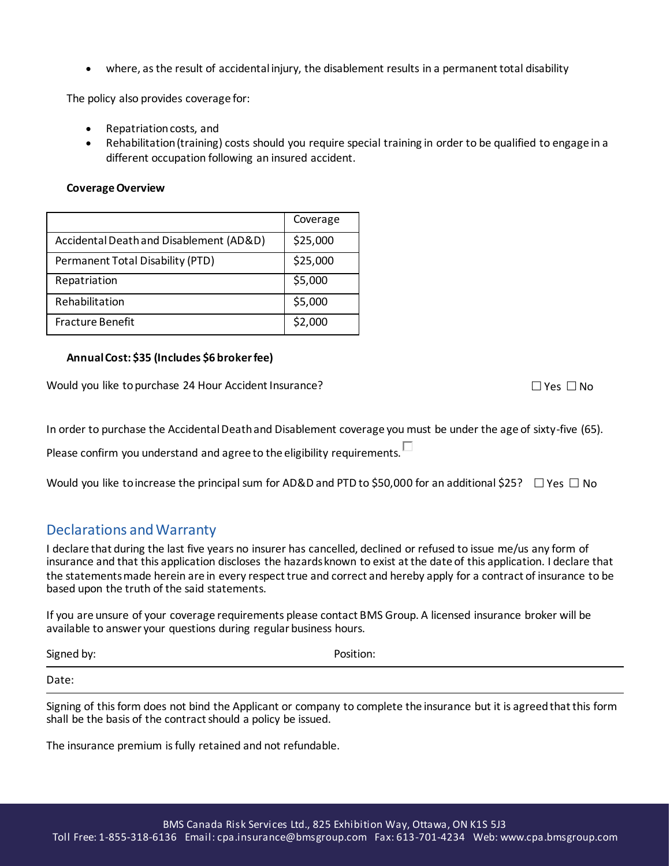where, as the result of accidental injury, the disablement results in a permanent total disability

The policy also provides coverage for:

- Repatriation costs, and
- Rehabilitation (training) costs should you require special training in order to be qualified to engage in a different occupation following an insured accident.

#### **Coverage Overview**

|                                         | Coverage |
|-----------------------------------------|----------|
| Accidental Death and Disablement (AD&D) | \$25,000 |
| Permanent Total Disability (PTD)        | \$25,000 |
| Repatriation                            | \$5,000  |
| Rehabilitation                          | \$5,000  |
| <b>Fracture Benefit</b>                 | \$2,000  |

#### **Annual Cost: \$35 (Includes \$6 broker fee)**

Would you like to purchase 24 Hour Accident Insurance?  $\Box$  Yes  $\Box$  Yes  $\Box$  No

In order to purchase the Accidental Death and Disablement coverage you must be under the age of sixty-five (65).

Please confirm you understand and agree to the eligibility requirements.  $\Box$ 

Would you like to increase the principal sum for AD&D and PTD to \$50,000 for an additional \$25?  $\Box$  Yes  $\Box$  No

### Declarations and Warranty

I declare that during the last five years no insurer has cancelled, declined or refused to issue me/us any form of insurance and that this application discloses the hazards known to exist at the date of this application. I declare that the statements made herein are in every respect true and correct and hereby apply for a contract of insurance to be based upon the truth of the said statements.

If you are unsure of your coverage requirements please contact BMS Group. A licensed insurance broker will be available to answer your questions during regular business hours.

| Signed by: | Position: |
|------------|-----------|
| Date:      |           |

Signing of this form does not bind the Applicant or company to complete the insurance but it is agreed that this form shall be the basis of the contract should a policy be issued.

The insurance premium is fully retained and not refundable.